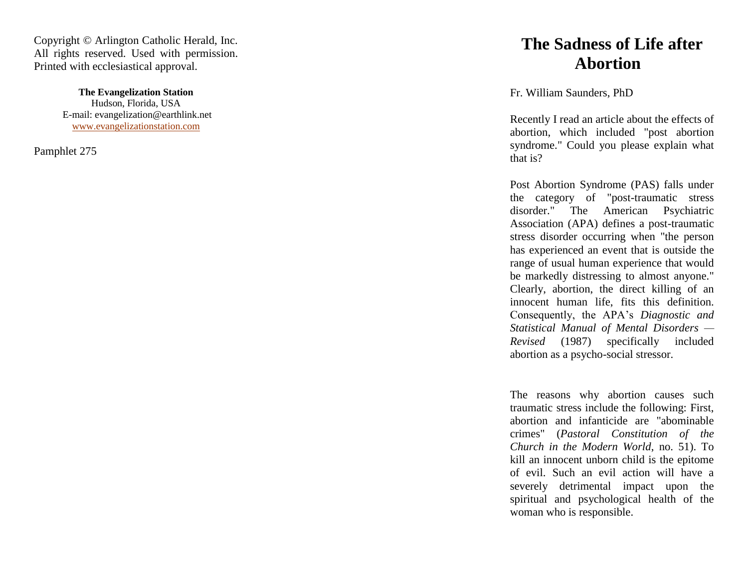Copyright © Arlington Catholic Herald, Inc. All rights reserved. Used with permission. Printed with ecclesiastical approval.

> **The Evangelization Station** Hudson, Florida, USA E -mail: evangelization@earthlink.net [www.evangelizationstation.com](http://www.pjpiisoe.org/)

Pamphlet 275

## **The Sadness of Life after Abortion**

Fr. William Saunders, PhD

Recently I read an article about the effects of abortion, which included "post abortion syndrome." Could you please explain what that is?

Post Abortion Syndrome (PAS) falls under the category of "post -traumatic stress disorder." The American Psychiatric Association (APA) defines a post -traumatic stress disorder occurring when "the person has experienced an event that is outside the range of usual human experience that would be markedly distressing to almost anyone." Clearly, abortion, the direct killing of an innocent human life, fits this definition. Consequently, the APA's *Diagnostic and Statistical Manual of Mental Disorders — Revised* (1987) specifically included abortion as a psycho -social stressor.

The reasons why abortion causes such traumatic stress include the following: First, abortion and infanticide are "abominable crimes" (*Pastoral Constitution of the Church in the Modern World*, no. 51). To kill an innocent unborn child is the epitome of evil. Such an evil action will have a severely detrimental impact upon the spiritual and psychological health of the woman who is responsible.